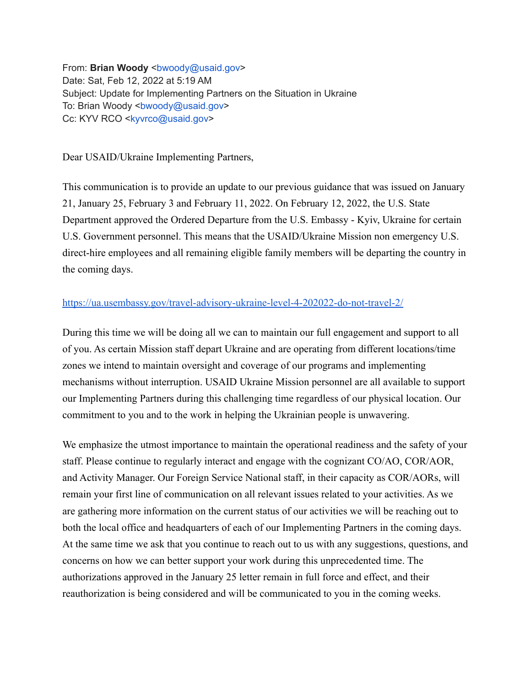From: **Brian Woody** <br/>bwoody@usaid.gov> Date: Sat, Feb 12, 2022 at 5:19 AM Subject: Update for Implementing Partners on the Situation in Ukraine To: Brian Woody <br/>bwoody@usaid.gov> Cc: KYV RCO <kyvrco@usaid.gov>

Dear USAID/Ukraine Implementing Partners,

This communication is to provide an update to our previous guidance that was issued on January 21, January 25, February 3 and February 11, 2022. On February 12, 2022, the U.S. State Department approved the Ordered Departure from the U.S. Embassy - Kyiv, Ukraine for certain U.S. Government personnel. This means that the USAID/Ukraine Mission non emergency U.S. direct-hire employees and all remaining eligible family members will be departing the country in the coming days.

## <https://ua.usembassy.gov/travel-advisory-ukraine-level-4-202022-do-not-travel-2/>

During this time we will be doing all we can to maintain our full engagement and support to all of you. As certain Mission staff depart Ukraine and are operating from different locations/time zones we intend to maintain oversight and coverage of our programs and implementing mechanisms without interruption. USAID Ukraine Mission personnel are all available to support our Implementing Partners during this challenging time regardless of our physical location. Our commitment to you and to the work in helping the Ukrainian people is unwavering.

We emphasize the utmost importance to maintain the operational readiness and the safety of your staff. Please continue to regularly interact and engage with the cognizant CO/AO, COR/AOR, and Activity Manager. Our Foreign Service National staff, in their capacity as COR/AORs, will remain your first line of communication on all relevant issues related to your activities. As we are gathering more information on the current status of our activities we will be reaching out to both the local office and headquarters of each of our Implementing Partners in the coming days. At the same time we ask that you continue to reach out to us with any suggestions, questions, and concerns on how we can better support your work during this unprecedented time. The authorizations approved in the January 25 letter remain in full force and effect, and their reauthorization is being considered and will be communicated to you in the coming weeks.